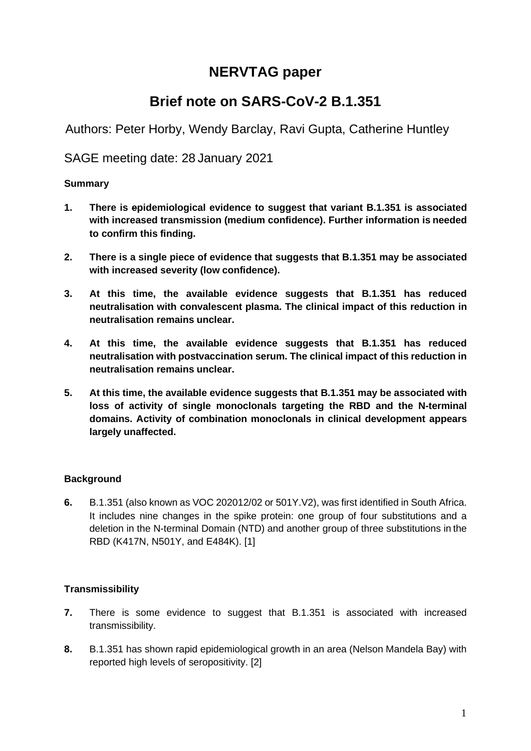# **NERVTAG paper**

# **Brief note on SARS-CoV-2 B.1.351**

Authors: Peter Horby, Wendy Barclay, Ravi Gupta, Catherine Huntley

SAGE meeting date: 28 January 2021

## **Summary**

- **1. There is epidemiological evidence to suggest that variant B.1.351 is associated with increased transmission (medium confidence). Further information is needed to confirm this finding.**
- **2. There is a single piece of evidence that suggests that B.1.351 may be associated with increased severity (low confidence).**
- **3. At this time, the available evidence suggests that B.1.351 has reduced neutralisation with convalescent plasma. The clinical impact of this reduction in neutralisation remains unclear.**
- **4. At this time, the available evidence suggests that B.1.351 has reduced neutralisation with postvaccination serum. The clinical impact of this reduction in neutralisation remains unclear.**
- **5. At this time, the available evidence suggests that B.1.351 may be associated with loss of activity of single monoclonals targeting the RBD and the N-terminal domains. Activity of combination monoclonals in clinical development appears largely unaffected.**

# **Background**

**6.** B.1.351 (also known as VOC 202012/02 or 501Y.V2), was first identified in South Africa. It includes nine changes in the spike protein: one group of four substitutions and a deletion in the N-terminal Domain (NTD) and another group of three substitutions in the RBD (K417N, N501Y, and E484K). [1]

# **Transmissibility**

- **7.** There is some evidence to suggest that B.1.351 is associated with increased transmissibility.
- **8.** B.1.351 has shown rapid epidemiological growth in an area (Nelson Mandela Bay) with reported high levels of seropositivity. [2]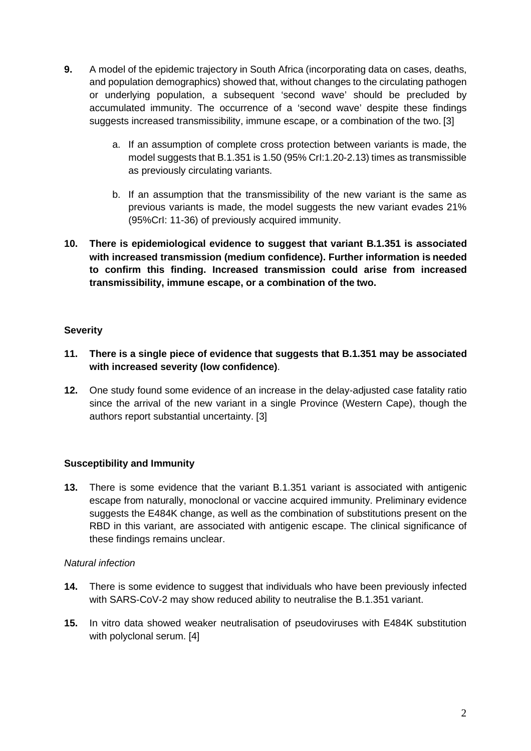- **9.** A model of the epidemic trajectory in South Africa (incorporating data on cases, deaths, and population demographics) showed that, without changes to the circulating pathogen or underlying population, a subsequent 'second wave' should be precluded by accumulated immunity. The occurrence of a 'second wave' despite these findings suggests increased transmissibility, immune escape, or a combination of the two. [3]
	- a. If an assumption of complete cross protection between variants is made, the model suggests that B.1.351 is 1.50 (95% CrI:1.20-2.13) times as transmissible as previously circulating variants.
	- b. If an assumption that the transmissibility of the new variant is the same as previous variants is made, the model suggests the new variant evades 21% (95%CrI: 11-36) of previously acquired immunity.
- **10. There is epidemiological evidence to suggest that variant B.1.351 is associated with increased transmission (medium confidence). Further information is needed to confirm this finding. Increased transmission could arise from increased transmissibility, immune escape, or a combination of the two.**

## **Severity**

- **11. There is a single piece of evidence that suggests that B.1.351 may be associated with increased severity (low confidence)**.
- **12.** One study found some evidence of an increase in the delay-adjusted case fatality ratio since the arrival of the new variant in a single Province (Western Cape), though the authors report substantial uncertainty. [3]

# **Susceptibility and Immunity**

**13.** There is some evidence that the variant B.1.351 variant is associated with antigenic escape from naturally, monoclonal or vaccine acquired immunity. Preliminary evidence suggests the E484K change, as well as the combination of substitutions present on the RBD in this variant, are associated with antigenic escape. The clinical significance of these findings remains unclear.

#### *Natural infection*

- **14.** There is some evidence to suggest that individuals who have been previously infected with SARS-CoV-2 may show reduced ability to neutralise the B.1.351 variant.
- **15.** In vitro data showed weaker neutralisation of pseudoviruses with E484K substitution with polyclonal serum. [4]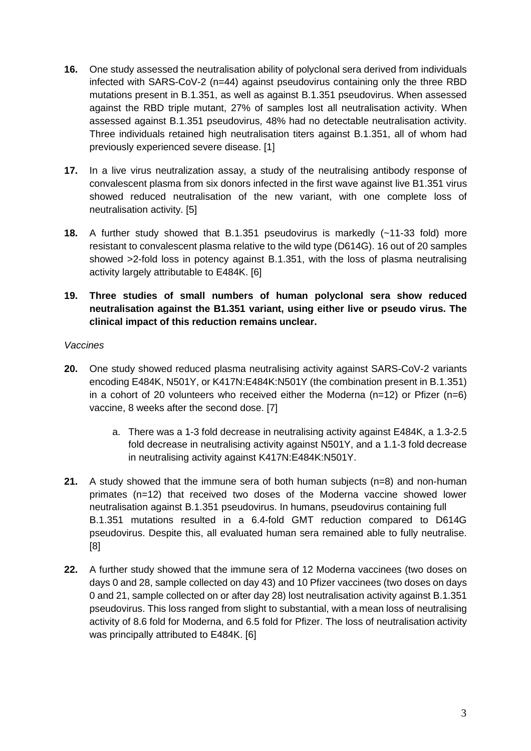- **16.** One study assessed the neutralisation ability of polyclonal sera derived from individuals infected with SARS-CoV-2 (n=44) against pseudovirus containing only the three RBD mutations present in B.1.351, as well as against B.1.351 pseudovirus. When assessed against the RBD triple mutant, 27% of samples lost all neutralisation activity. When assessed against B.1.351 pseudovirus, 48% had no detectable neutralisation activity. Three individuals retained high neutralisation titers against B.1.351, all of whom had previously experienced severe disease. [1]
- **17.** In a live virus neutralization assay, a study of the neutralising antibody response of convalescent plasma from six donors infected in the first wave against live B1.351 virus showed reduced neutralisation of the new variant, with one complete loss of neutralisation activity. [5]
- **18.** A further study showed that B.1.351 pseudovirus is markedly (~11-33 fold) more resistant to convalescent plasma relative to the wild type (D614G). 16 out of 20 samples showed >2-fold loss in potency against B.1.351, with the loss of plasma neutralising activity largely attributable to E484K. [6]

### **19. Three studies of small numbers of human polyclonal sera show reduced neutralisation against the B1.351 variant, using either live or pseudo virus. The clinical impact of this reduction remains unclear.**

#### *Vaccines*

- **20.** One study showed reduced plasma neutralising activity against SARS-CoV-2 variants encoding E484K, N501Y, or K417N:E484K:N501Y (the combination present in B.1.351) in a cohort of 20 volunteers who received either the Moderna ( $n=12$ ) or Pfizer ( $n=6$ ) vaccine, 8 weeks after the second dose. [7]
	- a. There was a 1-3 fold decrease in neutralising activity against E484K, a 1.3-2.5 fold decrease in neutralising activity against N501Y, and a 1.1-3 fold decrease in neutralising activity against K417N:E484K:N501Y.
- **21.** A study showed that the immune sera of both human subjects (n=8) and non-human primates (n=12) that received two doses of the Moderna vaccine showed lower neutralisation against B.1.351 pseudovirus. In humans, pseudovirus containing full B.1.351 mutations resulted in a 6.4-fold GMT reduction compared to D614G pseudovirus. Despite this, all evaluated human sera remained able to fully neutralise. [8]
- **22.** A further study showed that the immune sera of 12 Moderna vaccinees (two doses on days 0 and 28, sample collected on day 43) and 10 Pfizer vaccinees (two doses on days 0 and 21, sample collected on or after day 28) lost neutralisation activity against B.1.351 pseudovirus. This loss ranged from slight to substantial, with a mean loss of neutralising activity of 8.6 fold for Moderna, and 6.5 fold for Pfizer. The loss of neutralisation activity was principally attributed to E484K. [6]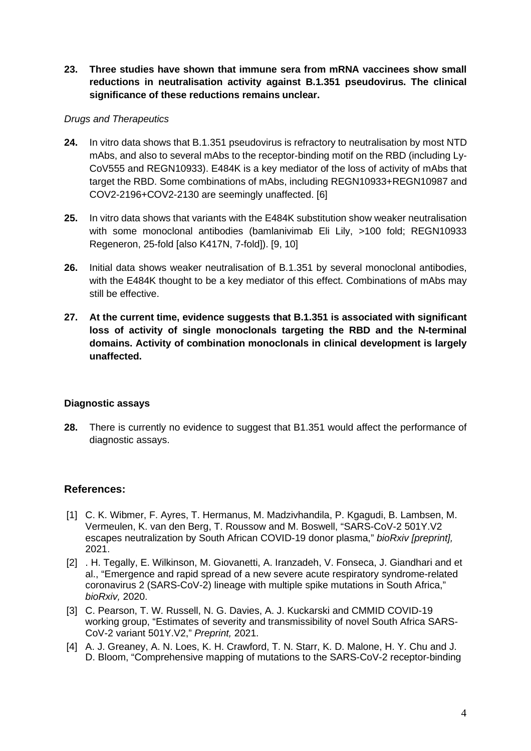**23. Three studies have shown that immune sera from mRNA vaccinees show small reductions in neutralisation activity against B.1.351 pseudovirus. The clinical significance of these reductions remains unclear.**

#### *Drugs and Therapeutics*

- **24.** In vitro data shows that B.1.351 pseudovirus is refractory to neutralisation by most NTD mAbs, and also to several mAbs to the receptor-binding motif on the RBD (including Ly-CoV555 and REGN10933). E484K is a key mediator of the loss of activity of mAbs that target the RBD. Some combinations of mAbs, including REGN10933+REGN10987 and COV2-2196+COV2-2130 are seemingly unaffected. [6]
- **25.** In vitro data shows that variants with the E484K substitution show weaker neutralisation with some monoclonal antibodies (bamlanivimab Eli Lily, >100 fold; REGN10933 Regeneron, 25-fold [also K417N, 7-fold]). [9, 10]
- **26.** Initial data shows weaker neutralisation of B.1.351 by several monoclonal antibodies, with the E484K thought to be a key mediator of this effect. Combinations of mAbs may still be effective.
- **27. At the current time, evidence suggests that B.1.351 is associated with significant loss of activity of single monoclonals targeting the RBD and the N-terminal domains. Activity of combination monoclonals in clinical development is largely unaffected.**

#### **Diagnostic assays**

**28.** There is currently no evidence to suggest that B1.351 would affect the performance of diagnostic assays.

#### **References:**

- [1] C. K. Wibmer, F. Ayres, T. Hermanus, M. Madzivhandila, P. Kgagudi, B. Lambsen, M. Vermeulen, K. van den Berg, T. Roussow and M. Boswell, "SARS-CoV-2 501Y.V2 escapes neutralization by South African COVID-19 donor plasma," *bioRxiv [preprint],*  2021.
- [2] . H. Tegally, E. Wilkinson, M. Giovanetti, A. Iranzadeh, V. Fonseca, J. Giandhari and et al., "Emergence and rapid spread of a new severe acute respiratory syndrome-related coronavirus 2 (SARS-CoV-2) lineage with multiple spike mutations in South Africa," *bioRxiv,* 2020.
- [3] C. Pearson, T. W. Russell, N. G. Davies, A. J. Kuckarski and CMMID COVID-19 working group, "Estimates of severity and transmissibility of novel South Africa SARS-CoV-2 variant 501Y.V2," *Preprint,* 2021.
- [4] A. J. Greaney, A. N. Loes, K. H. Crawford, T. N. Starr, K. D. Malone, H. Y. Chu and J. D. Bloom, "Comprehensive mapping of mutations to the SARS-CoV-2 receptor-binding